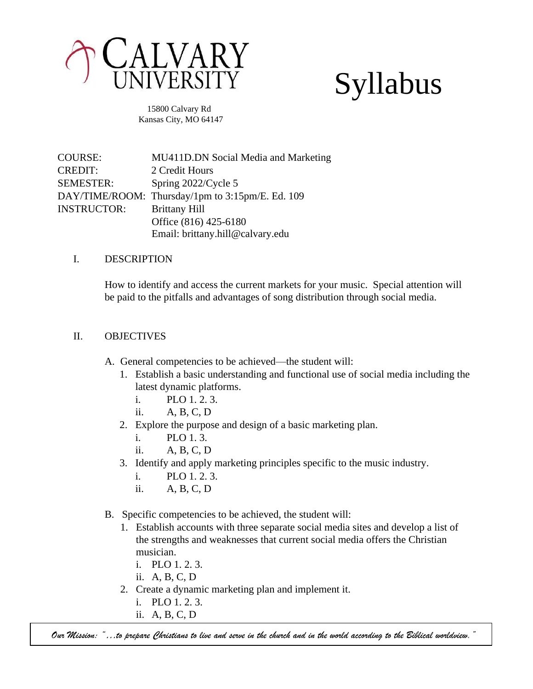

# Syllabus

 15800 Calvary Rd Kansas City, MO 64147

COURSE: MU411D.DN Social Media and Marketing CREDIT: 2 Credit Hours SEMESTER: Spring 2022/Cycle 5 DAY/TIME/ROOM: Thursday/1pm to 3:15pm/E. Ed. 109 INSTRUCTOR: Brittany Hill Office (816) 425-6180 Email: brittany.hill@calvary.edu

# I. DESCRIPTION

How to identify and access the current markets for your music. Special attention will be paid to the pitfalls and advantages of song distribution through social media.

# II. OBJECTIVES

- A. General competencies to be achieved—the student will:
	- 1. Establish a basic understanding and functional use of social media including the latest dynamic platforms.
		- i. PLO 1. 2. 3.
		- ii. A, B, C, D
	- 2. Explore the purpose and design of a basic marketing plan.
		- i. PLO 1. 3.
		- ii. A, B, C, D
	- 3. Identify and apply marketing principles specific to the music industry.
		- i. PLO 1. 2. 3.
		- ii. A, B, C, D
- B. Specific competencies to be achieved, the student will:
	- 1. Establish accounts with three separate social media sites and develop a list of the strengths and weaknesses that current social media offers the Christian musician.
		- i. PLO 1. 2. 3.
		- ii. A, B, C, D
	- 2. Create a dynamic marketing plan and implement it.
		- i. PLO 1. 2. 3.
		- ii. A, B, C, D

*Our Mission: "…to prepare Christians to live and serve in the church and in the world according to the Biblical worldview."*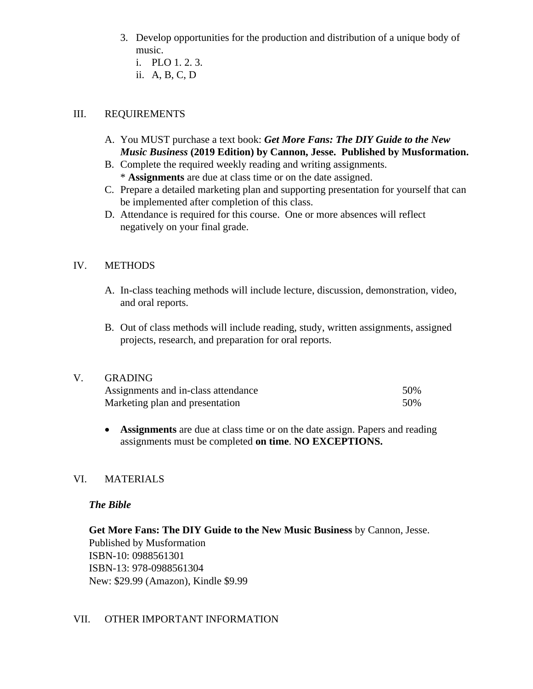- 3. Develop opportunities for the production and distribution of a unique body of music.
	- i. PLO 1. 2. 3.
	- ii. A, B, C, D

# III. REQUIREMENTS

- A. You MUST purchase a text book: *Get More Fans: The DIY Guide to the New Music Business* **(2019 Edition) by Cannon, Jesse. Published by Musformation.**
- B. Complete the required weekly reading and writing assignments.
	- \* **Assignments** are due at class time or on the date assigned.
- C. Prepare a detailed marketing plan and supporting presentation for yourself that can be implemented after completion of this class.
- D. Attendance is required for this course. One or more absences will reflect negatively on your final grade.

# IV. METHODS

- A. In-class teaching methods will include lecture, discussion, demonstration, video, and oral reports.
- B. Out of class methods will include reading, study, written assignments, assigned projects, research, and preparation for oral reports.

#### V. GRADING

| Assignments and in-class attendance | 50% |
|-------------------------------------|-----|
| Marketing plan and presentation     | 50% |

• **Assignments** are due at class time or on the date assign. Papers and reading assignments must be completed **on time**. **NO EXCEPTIONS.** 

# VI. MATERIALS

#### *The Bible*

**Get More Fans: The DIY Guide to the New Music Business** by Cannon, Jesse. Published by Musformation ISBN-10: 0988561301 ISBN-13: 978-0988561304 New: \$29.99 (Amazon), Kindle \$9.99

# VII. OTHER IMPORTANT INFORMATION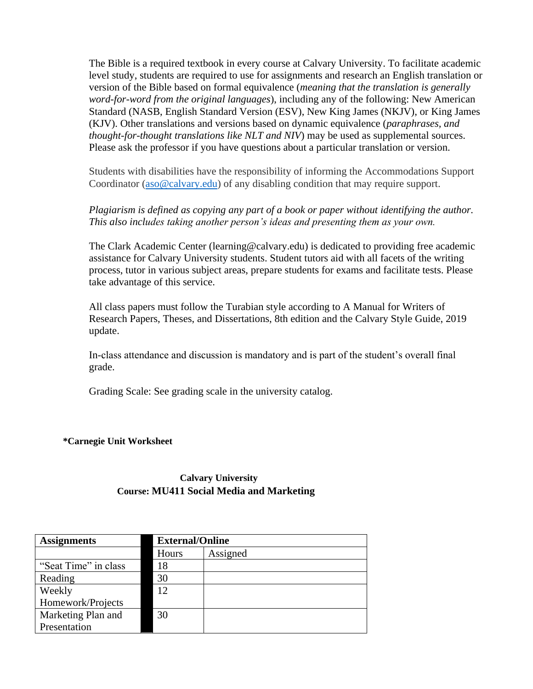The Bible is a required textbook in every course at Calvary University. To facilitate academic level study, students are required to use for assignments and research an English translation or version of the Bible based on formal equivalence (*meaning that the translation is generally word-for-word from the original languages*), including any of the following: New American Standard (NASB, English Standard Version (ESV), New King James (NKJV), or King James (KJV). Other translations and versions based on dynamic equivalence (*paraphrases, and thought-for-thought translations like NLT and NIV*) may be used as supplemental sources. Please ask the professor if you have questions about a particular translation or version.

Students with disabilities have the responsibility of informing the Accommodations Support Coordinator [\(aso@calvary.edu\)](mailto:aso@calvary.edu) of any disabling condition that may require support.

# *Plagiarism is defined as copying any part of a book or paper without identifying the author. This also includes taking another person's ideas and presenting them as your own.*

The Clark Academic Center (learning@calvary.edu) is dedicated to providing free academic assistance for Calvary University students. Student tutors aid with all facets of the writing process, tutor in various subject areas, prepare students for exams and facilitate tests. Please take advantage of this service.

All class papers must follow the Turabian style according to A Manual for Writers of Research Papers, Theses, and Dissertations, 8th edition and the Calvary Style Guide, 2019 update.

In-class attendance and discussion is mandatory and is part of the student's overall final grade.

Grading Scale: See grading scale in the university catalog.

#### **\*Carnegie Unit Worksheet**

# **Calvary University Course: MU411 Social Media and Marketing**

| <b>Assignments</b>   | <b>External/Online</b> |          |
|----------------------|------------------------|----------|
|                      | Hours                  | Assigned |
| "Seat Time" in class | 18                     |          |
| Reading              | 30                     |          |
| Weekly               | 12                     |          |
| Homework/Projects    |                        |          |
| Marketing Plan and   | 30                     |          |
| Presentation         |                        |          |